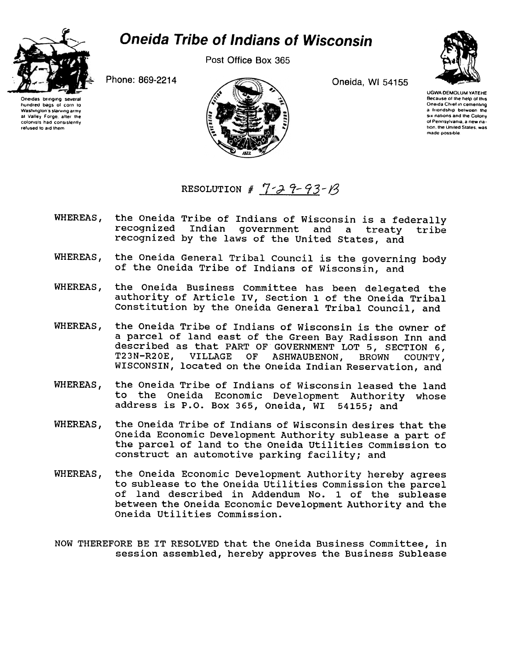

Post Office Box 365



hundred bags of corn to Washington's starving army

at Valley Forge, after the

colonists had consistently

refused to aid them

Oneida, WI 54155



**UGWA DEMOLUM YATEHE** Because of the help of this Oneida Chief in cementing a friendship between the six nations and the Colony of Pennsylvania, a new nation, the United States, was made possible

Phone: 869-2214



RESOLUTION #  $7 - 3 - 9 - 93 - 18$ 

- WHEREAS, the Oneida Tribe of Indians of Wisconsin is a federally Indian government and recognized a treatv tribe recognized by the laws of the United States, and
- the Oneida General Tribal Council is the governing body WHEREAS. of the Oneida Tribe of Indians of Wisconsin, and
- the Oneida Business Committee has been delegated the WHEREAS, authority of Article IV, Section 1 of the Oneida Tribal Constitution by the Oneida General Tribal Council, and
- WHEREAS, the Oneida Tribe of Indians of Wisconsin is the owner of a parcel of land east of the Green Bay Radisson Inn and described as that PART OF GOVERNMENT LOT 5, SECTION 6, T23N-R20E, VILLAGE  $OF$ **ASHWAUBENON, BROWN** COUNTY, WISCONSIN, located on the Oneida Indian Reservation, and
- WHEREAS. the Oneida Tribe of Indians of Wisconsin leased the land to the Oneida Economic Development Authority whose address is P.O. Box 365, Oneida, WI 54155; and
- WHEREAS, the Oneida Tribe of Indians of Wisconsin desires that the Oneida Economic Development Authority sublease a part of the parcel of land to the Oneida Utilities Commission to construct an automotive parking facility; and
- WHEREAS, the Oneida Economic Development Authority hereby agrees to sublease to the Oneida Utilities Commission the parcel of land described in Addendum No. 1 of the sublease between the Oneida Economic Development Authority and the Oneida Utilities Commission.
- NOW THEREFORE BE IT RESOLVED that the Oneida Business Committee, in session assembled, hereby approves the Business Sublease